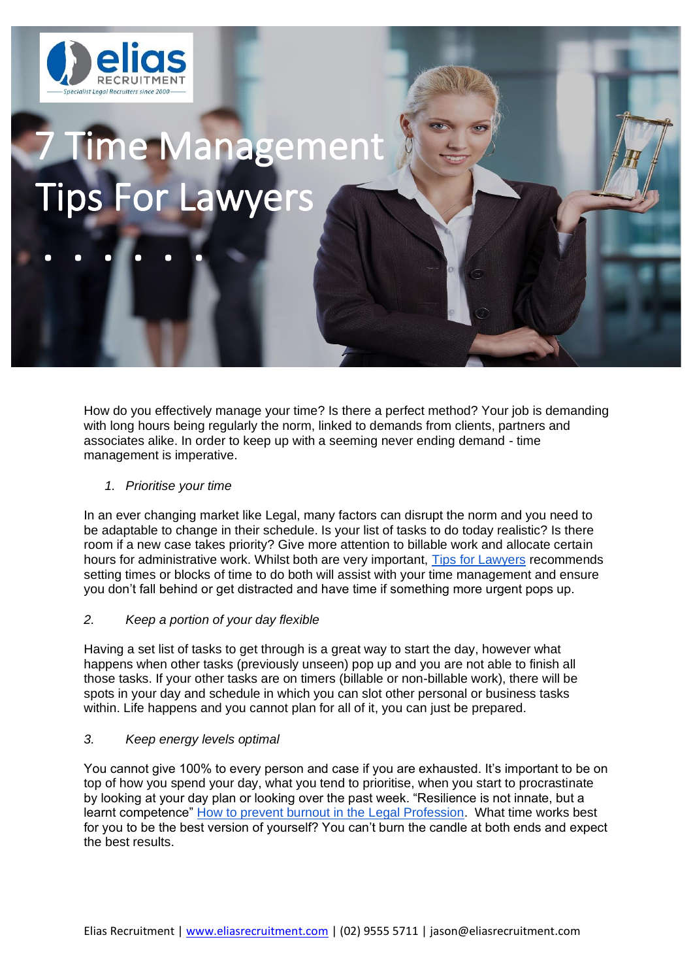

**. . . . . .**

# 7 Time Management Tips For Lawyers

How do you effectively manage your time? Is there a perfect method? Your job is demanding with long hours being regularly the norm, linked to demands from clients, partners and associates alike. In order to keep up with a seeming never ending demand - time management is imperative.

## *1. Prioritise your time*

In an ever changing market like Legal, many factors can disrupt the norm and you need to be adaptable to change in their schedule. Is your list of tasks to do today realistic? Is there room if a new case takes priority? Give more attention to billable work and allocate certain hours for administrative work. Whilst both are very important, [Tips for Lawyers](https://tipsforlawyers.com/prioritize-workload/) recommends setting times or blocks of time to do both will assist with your time management and ensure you don't fall behind or get distracted and have time if something more urgent pops up.

## *2. Keep a portion of your day flexible*

Having a set list of tasks to get through is a great way to start the day, however what happens when other tasks (previously unseen) pop up and you are not able to finish all those tasks. If your other tasks are on timers (billable or non-billable work), there will be spots in your day and schedule in which you can slot other personal or business tasks within. Life happens and you cannot plan for all of it, you can just be prepared.

#### *3. Keep energy levels optimal*

You cannot give 100% to every person and case if you are exhausted. It's important to be on top of how you spend your day, what you tend to prioritise, when you start to procrastinate by looking at your day plan or looking over the past week. "Resilience is not innate, but a learnt competence" [How to prevent burnout in the Legal Profession.](https://www.lawyersweekly.com.au/biglaw/26055-how-to-prevent-burnout-in-the-legal-profession) What time works best for you to be the best version of yourself? You can't burn the candle at both ends and expect the best results.